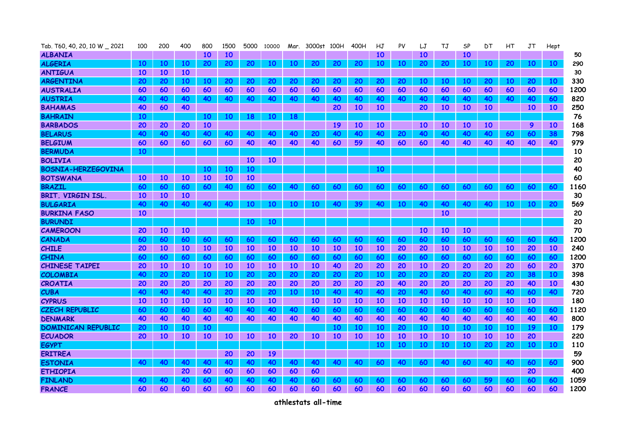| Tab. T60, 40, 20, 10 W _ 2021 | 100       | 200             | 400             | 800             | 1500      | 5000      | 10000     | Mar.            | 3000st    | 100H      | 400H      | НJ        | PV        | LJ              | TJ        | SP        | DТ        | HТ        | JT              | Hept            |      |
|-------------------------------|-----------|-----------------|-----------------|-----------------|-----------|-----------|-----------|-----------------|-----------|-----------|-----------|-----------|-----------|-----------------|-----------|-----------|-----------|-----------|-----------------|-----------------|------|
| <b>ALBANIA</b>                |           |                 |                 | <b>10</b>       | <b>10</b> |           |           |                 |           |           |           | 10        |           | <b>10</b>       |           | <b>10</b> |           |           |                 |                 | 50   |
| <b>ALGERIA</b>                | 10        | 10              | 10              | 20              | 20        | 20        | <b>10</b> | 10              | 20        | 20        | 20        | 10        | 10        | 20              | 20        | 10        | 10        | 20        | 10              | 10              | 290  |
| <b>ANTIGUA</b>                | <b>10</b> | <b>10</b>       | <b>10</b>       |                 |           |           |           |                 |           |           |           |           |           |                 |           |           |           |           |                 |                 | 30   |
| <b>ARGENTINA</b>              | 20        | 20              | 10              | 10              | 20        | 20        | 20        | 20              | 20        | 20        | 20        | 20        | 20        | 10              | 10        | 10        | 20        | 10        | 20              | 10              | 330  |
| <b>AUSTRALIA</b>              | 60        | 60              | 60              | 60              | 60        | 60        | 60        | 60              | 60        | 60        | 60        | 60        | 60        | 60              | 60        | 60        | 60        | 60        | 60              | 60              | 1200 |
| <b>AUSTRIA</b>                | 40        | 40              | 40              | 40              | 40        | 40        | 40        | 40              | 40        | 40        | 40        | 40        | 40        | 40              | 40        | 40        | 40        | 40        | 40              | 60              | 820  |
| <b>BAHAMAS</b>                | 40        | 60              | 40              |                 |           |           |           |                 |           | 20        | <b>10</b> | 10        |           | 20              | <b>10</b> | <b>10</b> | <b>10</b> |           | 10 <sup>°</sup> | <b>10</b>       | 250  |
| <b>BAHRAIN</b>                | 10        |                 |                 | <b>10</b>       | 10        | 18        | 10        | 18              |           |           |           |           |           |                 |           |           |           |           |                 |                 | 76   |
| <b>BARBADOS</b>               | 20        | 20              | 20              | <b>10</b>       |           |           |           |                 |           | 19        | 10        | 10        |           | <b>10</b>       | <b>10</b> | <b>10</b> | 10        |           | 9.              | 10              | 168  |
| <b>BELARUS</b>                | 40        | 40              | 40              | 40              | 40        | 40        | 40        | 40              | 20        | 40        | 40        | 40        | 20        | 40              | 40        | 40        | 40        | 60        | 60              | 38              | 798  |
| <b>BELGIUM</b>                | 60        | 60              | 60              | 60              | 60        | 40        | 40        | 40              | 40        | 60        | 59        | 40        | 60        | 60              | 40        | 40        | 40        | 40        | 40              | 40              | 979  |
| <b>BERMUDA</b>                | 10        |                 |                 |                 |           |           |           |                 |           |           |           |           |           |                 |           |           |           |           |                 |                 | 10   |
| <b>BOLIVIA</b>                |           |                 |                 |                 |           | <b>10</b> | 10        |                 |           |           |           |           |           |                 |           |           |           |           |                 |                 | 20   |
| <b>BOSNIA-HERZEGOVINA</b>     |           |                 |                 | 10              | 10        | 10        |           |                 |           |           |           | 10        |           |                 |           |           |           |           |                 |                 | 40   |
| <b>BOTSWANA</b>               | <b>10</b> | 10              | 10              | <b>10</b>       | <b>10</b> | <b>10</b> |           |                 |           |           |           |           |           |                 |           |           |           |           |                 |                 | 60   |
| <b>BRAZIL</b>                 | 60        | 60              | 60              | 60              | 40        | 60        | 60        | 40              | 60        | 60        | 60        | 60        | 60        | 60              | 60        | 60        | 60        | 60        | 60              | 60              | 1160 |
| BRIT. VIRGIN ISL.             | <b>10</b> | <b>10</b>       | 10              |                 |           |           |           |                 |           |           |           |           |           |                 |           |           |           |           |                 |                 | 30   |
| <b>BULGARIA</b>               | 40        | 40              | <b>40</b>       | 40              | 40        | 10        | 10        | 10              | 10        | 40        | 39        | 40        | 10        | 40              | 40        | 40        | 40        | 10        | 10              | 20              | 569  |
| <b>BURKINA FASO</b>           | <b>10</b> |                 |                 |                 |           |           |           |                 |           |           |           |           |           |                 | 10        |           |           |           |                 |                 | 20   |
| <b>BURUNDI</b>                |           |                 |                 |                 |           | 10        | 10        |                 |           |           |           |           |           |                 |           |           |           |           |                 |                 | 20   |
| <b>CAMEROON</b>               | 20        | <b>10</b>       | 10              |                 |           |           |           |                 |           |           |           |           |           | <b>10</b>       | <b>10</b> | <b>10</b> |           |           |                 |                 | 70   |
| CANADA                        | 60        | 60              | 60              | 60              | 60        | 60        | 60        | <b>60</b>       | 60        | 60        | 60        | 60        | 60        | 60              | 60        | 60        | 60        | 60        | 60              | 60              | 1200 |
| <b>CHILE</b>                  | 20        | 10              | 10 <sup>°</sup> | <b>10</b>       | <b>10</b> | <b>10</b> | <b>10</b> | 10              | <b>10</b> | <b>10</b> | <b>10</b> | <b>10</b> | 20        | 20              | <b>10</b> | <b>10</b> | <b>10</b> | <b>10</b> | 20              | <b>10</b>       | 240  |
| CHINA                         | 60        | 60              | 60              | 60              | 60        | 60        | 60        | 60              | 60        | 60        | 60        | 60        | 60        | 60              | 60        | 60        | 60        | 60        | 60              | 60              | 1200 |
| <b>CHINESE TAIPEI</b>         | 20        | 10 <sup>°</sup> | <b>10</b>       | 10 <sup>°</sup> | 10        | <b>10</b> | <b>10</b> | $\overline{10}$ | <b>10</b> | 40        | 20        | 20        | 20        | 10 <sup>°</sup> | 20        | 20        | 20        | 20        | 60              | <b>20</b>       | 370  |
| <b>COLOMBIA</b>               | 40        | <b>20</b>       | <b>20</b>       | <b>10</b>       | <b>10</b> | 20        | 20        | 20              | <b>20</b> | 20        | 20        | 10        | 20        | 20              | 20        | 20        | 20        | 20        | 38              | 10 <sup>°</sup> | 398  |
| <b>CROATIA</b>                | 20        | 20              | 20              | 20              | 20        | 20        | 20        | 20              | 20        | 20        | 20        | 20        | 40        | 20              | 20        | 20        | 20        | 20        | 40              | <b>10</b>       | 430  |
| <b>CUBA</b>                   | 40        | 40              | 40              | 40              | 20        | 20        | 20        | <b>10</b>       | <b>10</b> | 40        | 40        | 40        | 20        | 40              | 60        | 40        | 60        | 40        | 60              | 40              | 720  |
| <b>CYPRUS</b>                 | 10        | 10              | 10              | <b>10</b>       | <b>10</b> | 10        | <b>10</b> |                 | <b>10</b> | <b>10</b> | <b>10</b> | 10        | 10        | <b>10</b>       | 10        | 10        | 10        | 10        | 10              |                 | 180  |
| <b>CZECH REPUBLIC</b>         | 60        | 60              | 60              | 60              | 40        | 40        | 40        | 40              | 60        | 60        | 60        | 60        | 60        | 60              | 60        | 60        | 60        | 60        | 60              | 60              | 1120 |
| <b>DENMARK</b>                | 40        | 40              | 40              | 40              | 40        | 40        | 40        | 40              | 40        | 40        | 40        | 40        | 40        | 40              | 40        | 40        | 40        | 40        | 40              | 40              | 800  |
| <b>DOMINICAN REPUBLIC</b>     | <b>20</b> | 10              | 10 <sup>°</sup> | <b>10</b>       |           |           |           |                 |           | 10        | <b>10</b> | <b>10</b> | 20        | <b>10</b>       | <b>10</b> | 10        | 10        | 10        | <b>19</b>       | <b>10</b>       | 179  |
| <b>ECUADOR</b>                | 20        | 10 <sup>°</sup> | <b>10</b>       | <b>10</b>       | <b>10</b> | <b>10</b> | <b>10</b> | 20              | 10        | <b>10</b> | <b>10</b> | <b>10</b> | <b>10</b> | 10 <sup>°</sup> | <b>10</b> | <b>10</b> | <b>10</b> | 10        | 20              |                 | 220  |
| <b>EGYPT</b>                  |           |                 |                 |                 |           |           |           |                 |           |           |           | 10        | 10        | 10 <sup>°</sup> | 10        | 10        | 20        | 20        | 10              | <b>10</b>       | 110  |
| <b>ERITREA</b>                |           |                 |                 |                 | 20        | 20        | <b>19</b> |                 |           |           |           |           |           |                 |           |           |           |           |                 |                 | 59   |
| <b>ESTONIA</b>                | 40        | 40              | 40              | 40              | 40        | 40        | 40        | 40              | 40        | 40        | 40        | 60        | 40        | 60              | 40        | 60        | 40        | 40        | 60              | 60              | 900  |
| <b>ETHIOPIA</b>               |           |                 | 20              | 60              | 60        | 60        | 60        | 60              | 60        |           |           |           |           |                 |           |           |           |           | 20              |                 | 400  |
| <b>FINLAND</b>                | 40        | 40              | 40              | 60              | 40        | 40        | 40        | 40              | 60        | 60        | 60        | 60        | 60        | 60              | 60        | 60        | 59        | 60        | 60              | 60              | 1059 |
| <b>FRANCE</b>                 | 60        | 60              | 60              | 60              | 60        | 60        | 60        | 60              | 60        | 60        | 60        | 60        | 60        | 60              | 60        | 60        | 60        | 60        | 60              | 60              | 1200 |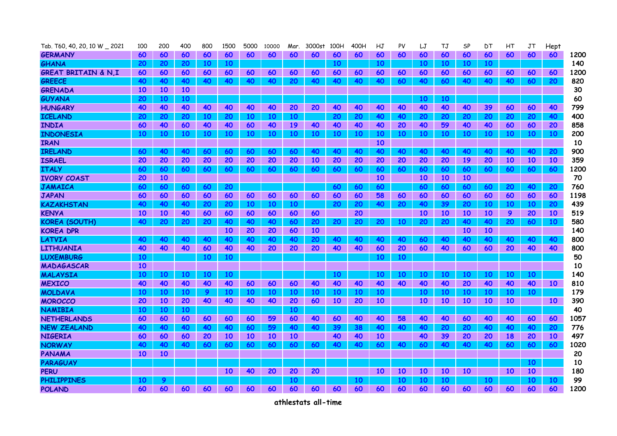| Tab. T60, 40, 20, 10 W _ 2021  | 100       | 200             | 400             | 800             | 1500      | 5000      | 10000     | Mar.      | 3000st    | 100H      | 400H | НJ        | PV | LJ              | TJ        | SP        | DТ | НΤ        | JT        | Hept      |      |
|--------------------------------|-----------|-----------------|-----------------|-----------------|-----------|-----------|-----------|-----------|-----------|-----------|------|-----------|----|-----------------|-----------|-----------|----|-----------|-----------|-----------|------|
| <b>GERMANY</b>                 | 60        | 60              | 60              | 60              | 60        | 60        | 60        | 60        | 60        | 60        | 60   | 60        | 60 | 60              | 60        | 60        | 60 | 60        | 60        | 60        | 1200 |
| <b>GHANA</b>                   | <b>20</b> | 20              | 20              | <b>10</b>       | 10        |           |           |           |           | 10        |      | 10        |    | 10              | <b>10</b> | 10        | 10 |           |           |           | 140  |
| <b>GREAT BRITAIN &amp; N.I</b> | 60        | 60              | 60              | 60              | 60        | 60        | 60        | 60        | 60        | 60        | 60   | 60        | 60 | 60              | 60        | 60        | 60 | 60        | 60        | 60        | 1200 |
| <b>GREECE</b>                  | 40        | 40              | 40              | 40              | 40        | 40        | 40        | 20        | 40        | 40        | 40   | 40        | 60 | 40              | 60        | 40        | 40 | 40        | 60        | 20        | 820  |
| <b>GRENADA</b>                 | <b>10</b> | 10              | <b>10</b>       |                 |           |           |           |           |           |           |      |           |    |                 |           |           |    |           |           |           | 30   |
| <b>GUYANA</b>                  | 20        | 10 <sup>°</sup> | 10 <sup>°</sup> |                 |           |           |           |           |           |           |      |           |    | 10 <sup>°</sup> | <b>10</b> |           |    |           |           |           | 60   |
| <b>HUNGARY</b>                 | 40        | 40              | 40              | 40              | 40        | 40        | 40        | 20        | 20        | 40        | 40   | 40        | 40 | 40              | 40        | 40        | 39 | 60        | 60        | 40        | 799  |
| <b>ICELAND</b>                 | <b>20</b> | 20              | <b>20</b>       | <b>10</b>       | 20        | 10        | 10        | 10        |           | 20        | 20   | 40        | 40 | <b>20</b>       | 20        | 20        | 20 | 20        | 20        | 40        | 400  |
| <b>INDIA</b>                   | 60        | 40              | 60              | 40              | 40        | 60        | 40        | <b>19</b> | 40        | 40        | 40   | 40        | 20 | 40              | 59        | 40        | 40 | 60        | 60        | 20        | 858  |
| <b>INDONESIA</b>               | 10        | 10              | 10 <sup>°</sup> | 10 <sup>°</sup> | 10        | <b>10</b> | 10        | <b>10</b> | 10        | 10        | 10   | 10        | 10 | 10 <sup>°</sup> | <b>10</b> | 10        | 10 | 10        | 10        | 10        | 200  |
| <b>IRAN</b>                    |           |                 |                 |                 |           |           |           |           |           |           |      | 10        |    |                 |           |           |    |           |           |           | 10   |
| <b>IRELAND</b>                 | 60        | 40              | 40              | 60              | 60        | 60        | 60        | 60        | 40        | 40        | 40   | 40        | 40 | 40              | 40        | 40        | 40 | 40        | 40        | 20        | 900  |
| <b>ISRAEL</b>                  | 20        | 20              | 20              | 20              | 20        | 20        | 20        | 20        | <b>10</b> | 20        | 20   | 20        | 20 | 20              | 20        | <b>19</b> | 20 | 10        | 10        | <b>10</b> | 359  |
| <b>ITALY</b>                   | 60        | 60              | 60              | 60              | 60        | 60        | 60        | 60        | 60        | 60        | 60   | 60        | 60 | 60              | 60        | 60        | 60 | 60        | 60        | 60        | 1200 |
| <b>IVORY COAST</b>             | 20        | 10              |                 |                 |           |           |           |           |           |           |      | <b>10</b> |    | 10              | <b>10</b> | <b>10</b> |    |           |           |           | 70   |
| <b>JAMAICA</b>                 | 60        | 60              | <b>60</b>       | 60              | 20        |           |           |           |           | 60        | 60   | 60        |    | 60              | 60        | 60        | 60 | 20        | 40        | <b>20</b> | 760  |
| <b>JAPAN</b>                   | 60        | 60              | 60              | 60              | 60        | 60        | 60        | 60        | 60        | 60        | 60   | 58        | 60 | 60              | 60        | 60        | 60 | 60        | 60        | 60        | 1198 |
| <b>KAZAKHSTAN</b>              | 40        | 40              | 40              | 20              | 20        | 10        | 10        | 10        |           | 20        | 20   | 40        | 20 | 40              | 39        | 20        | 10 | 10        | 10        | 20        | 439  |
| <b>KENYA</b>                   | 10        | <b>10</b>       | 40              | 60              | 60        | 60        | 60        | 60        | 60        |           | 20   |           |    | <b>10</b>       | 10        | <b>10</b> | 10 | 9         | 20        | 10        | 519  |
| <b>KOREA (SOUTH)</b>           | 40        | 20              | 20              | 20              | 40        | 40        | 40        | 60        | 20        | 20        | 20   | 20        | 10 | 20              | 20        | 40        | 40 | 20        | 60        | 10        | 580  |
| <b>KOREA DPR</b>               |           |                 |                 |                 | 10        | 20        | 20        | 60        | <b>10</b> |           |      |           |    |                 |           | <b>10</b> | 10 |           |           |           | 140  |
| <b>LATVIA</b>                  | 40        | 40              | 40              | 40              | 40        | 40        | 40        | 40        | 20        | 40        | 40   | 40        | 40 | 60              | 40        | 40        | 40 | 40        | 40        | 40        | 800  |
| <b>LITHUANIA</b>               | 40        | 40              | 40              | 60              | 40        | 40        | 20        | 20        | 20        | 40        | 40   | 60        | 20 | 60              | 40        | 60        | 60 | 20        | 40        | 40        | 800  |
| <b>LUXEMBURG</b>               | 10        |                 |                 | <b>10</b>       | 10        |           |           |           |           |           |      | 10        | 10 |                 |           |           |    |           |           |           | 50   |
| MADAGASCAR                     | 10        |                 |                 |                 |           |           |           |           |           |           |      |           |    |                 |           |           |    |           |           |           | 10   |
| <b>MALAYSIA</b>                | 10        | <b>10</b>       | 10 <sup>°</sup> | 10              | 10        |           |           |           |           | 10        |      | 10        | 10 | 10 <sup>°</sup> | 10        | 10        | 10 | 10        | 10        |           | 140  |
| <b>MEXICO</b>                  | 40        | 40              | 40              | 40              | 40        | 60        | 60        | 60        | 40        | 40        | 40   | 40        | 40 | 40              | 40        | 20        | 40 | 40        | 40        | <b>10</b> | 810  |
| <b>MOLDAVA</b>                 | 10        | 10              | 10              | 9               | 10        | 10        | 10        | 10        | 10        | 10        | 10   | 10        |    | <b>10</b>       | 10        | 10        | 10 | 10        | 10        |           | 179  |
| <b>MOROCCO</b>                 | 20        | <b>10</b>       | 20              | 40              | 40        | 40        | 40        | 20        | 60        | <b>10</b> | 20   | <b>10</b> |    | <b>10</b>       | 10        | <b>10</b> | 10 | <b>10</b> |           | <b>10</b> | 390  |
| <b>NAMIBIA</b>                 | 10        | 10 <sup>°</sup> | 10 <sup>°</sup> |                 |           |           |           | <b>10</b> |           |           |      |           |    |                 |           |           |    |           |           |           | 40   |
| <b>NETHERLANDS</b>             | 60        | 60              | 60              | 60              | 60        | 60        | 59        | 60        | 40        | 60        | 40   | 40        | 58 | 40              | 40        | 60        | 40 | 40        | 60        | 60        | 1057 |
| <b>NEW ZEALAND</b>             | 40        | 40              | 40              | 40              | 40        | 60        | 59        | 40        | 40        | 39        | 38   | 40        | 40 | 40              | 20        | 20        | 40 | 40        | 40        | 20        | 776  |
| <b>NIGERIA</b>                 | 60        | 60              | 60              | 20              | <b>10</b> | <b>10</b> | <b>10</b> | <b>10</b> |           | 40        | 40   | <b>10</b> |    | 40              | 39        | 20        | 20 | 18        | 20        | <b>10</b> | 497  |
| <b>NORWAY</b>                  | 40        | 40              | 40              | 60              | 60        | 60        | 60        | 60        | 60        | 40        | 40   | 60        | 40 | 60              | 40        | 40        | 40 | 60        | 60        | 60        | 1020 |
| <b>PANAMA</b>                  | <b>10</b> | <b>10</b>       |                 |                 |           |           |           |           |           |           |      |           |    |                 |           |           |    |           |           |           | 20   |
| <b>PARAGUAY</b>                |           |                 |                 |                 |           |           |           |           |           |           |      |           |    |                 |           |           |    |           | <b>10</b> |           | 10   |
| <b>PERU</b>                    |           |                 |                 |                 | <b>10</b> | 40        | 20        | 20        | 20        |           |      | 10        | 10 | <b>10</b>       | 10        | <b>10</b> |    | 10        | 10        |           | 180  |
| <b>PHILIPPINES</b>             | 10        | 9               |                 |                 |           |           |           | 10        |           |           | 10   |           | 10 | 10              | 10        |           | 10 |           | 10        | 10        | 99   |
| <b>POLAND</b>                  | 60        | 60              | 60              | 60              | 60        | 60        | 60        | 60        | 60        | 60        | 60   | 60        | 60 | 60              | 60        | 60        | 60 | 60        | 60        | 60        | 1200 |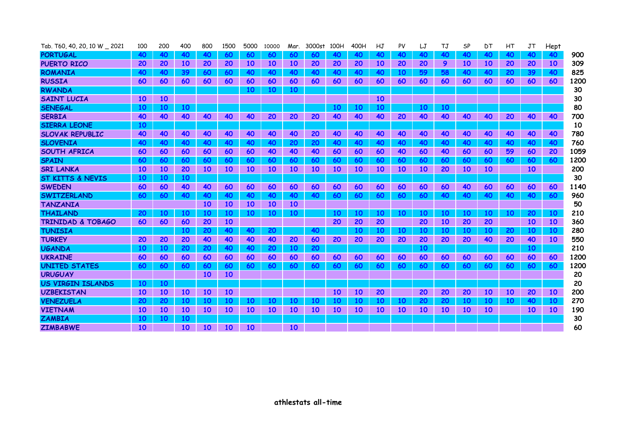| Tab. T60, 40, 20, 10 W 2021  | 100       | 200       | 400       | 800       | 1500      | 5000      | 10000     | Mar.            | 3000st    | 100H      | 400H      | HJ        | PV        | LJ        | TJ        | SP        | DТ        | HT        | JT              | Hept      |      |
|------------------------------|-----------|-----------|-----------|-----------|-----------|-----------|-----------|-----------------|-----------|-----------|-----------|-----------|-----------|-----------|-----------|-----------|-----------|-----------|-----------------|-----------|------|
| <b>PORTUGAL</b>              | 40        | 40        | 40        | 40        | 60        | 60        | -60       | 60              | 60        | 40        | 40        | 40        | 40        | 40        | 40        | 40        | 40        | 40        | 40              | 40        | 900  |
| <b>PUERTO RICO</b>           | 20        | 20        | 10        | 20        | 20        | <b>10</b> | <b>10</b> | <b>10</b>       | 20        | 20        | 20        | <b>10</b> | 20        | 20        | 9         | <b>10</b> | <b>10</b> | 20        | 20              | 10        | 309  |
| <b>ROMANIA</b>               | 40        | 40        | 39        | 60        | 60        | 40        | 40        | 40              | 40        | 40        | 40        | 40        | 10        | 59        | 58        | 40        | 40        | 20        | 39              | 40        | 825  |
| <b>RUSSIA</b>                | 60        | 60        | 60        | 60        | 60        | 60        | 60        | 60              | 60        | 60        | 60        | 60        | 60        | 60        | 60        | 60        | 60        | 60        | 60              | 60        | 1200 |
| <b>RWANDA</b>                |           |           |           |           |           | <b>10</b> | <b>10</b> | <b>10</b>       |           |           |           |           |           |           |           |           |           |           |                 |           | 30   |
| <b>SAINT LUCIA</b>           | 10        | 10        |           |           |           |           |           |                 |           |           |           | <b>10</b> |           |           |           |           |           |           |                 |           | 30   |
| <b>SENEGAL</b>               | <b>10</b> | 10        | 10        |           |           |           |           |                 |           | 10        | 10        | <b>10</b> |           | 10        | <b>10</b> |           |           |           |                 |           | 80   |
| <b>SERBIA</b>                | 40        | 40        | 40        | 40        | 40        | 40        | 20        | 20              | 20        | 40        | 40        | 40        | 20        | 40        | 40        | 40        | 40        | 20        | 40              | 40        | 700  |
| <b>SIERRA LEONE</b>          | <b>10</b> |           |           |           |           |           |           |                 |           |           |           |           |           |           |           |           |           |           |                 |           | 10   |
| <b>SLOVAK REPUBLIC</b>       | 40        | 40        | 40        | 40        | 40        | 40        | 40        | 40              | 20        | 40        | 40        | 40        | 40        | 40        | 40        | 40        | 40        | 40        | 40              | 40        | 780  |
| <b>SLOVENIA</b>              | 40        | 40        | 40        | <b>40</b> | <b>40</b> | 40        | 40        | 20              | 20        | 40        | 40        | 40        | 40        | 40        | 40        | 40        | 40        | 40        | 40              | 40        | 760  |
| <b>SOUTH AFRICA</b>          | 60        | 60        | 60        | 60        | 60        | 60        | 40        | 40              | 40        | 60        | 60        | 60        | 40        | 60        | 40        | 60        | 60        | 59        | 60              | 20        | 1059 |
| <b>SPAIN</b>                 | 60        | 60        | 60        | 60        | 60        | 60        | 60        | 60              | 60        | 60        | 60        | 60        | 60        | 60        | 60        | 60        | 60        | 60        | 60              | 60        | 1200 |
| <b>SRI LANKA</b>             | <b>10</b> | 10        | 20        | 10        | 10        | <b>10</b> | <b>10</b> | 10 <sup>°</sup> | <b>10</b> | 10        | 10        | <b>10</b> | <b>10</b> | <b>10</b> | 20        | <b>10</b> | <b>10</b> |           | 10 <sup>°</sup> |           | 200  |
| <b>ST KITTS &amp; NEVIS</b>  | <b>10</b> | 10        | <b>10</b> |           |           |           |           |                 |           |           |           |           |           |           |           |           |           |           |                 |           | 30   |
| <b>SWEDEN</b>                | 60        | 60        | 40        | 40        | 60        | 60        | 60        | 60              | 60        | 60        | 60        | 60        | 60        | 60        | 60        | 40        | 60        | 60        | 60              | 60        | 1140 |
| SWITZERLAND                  | 60        | 60        | 40        | 40        | 40        | 40        | 40        | 40              | 40        | 60        | 60        | 60        | 60        | 60        | 40        | 40        | 40        | 40        | 40              | 60        | 960  |
| <b>TANZANIA</b>              |           |           |           | 10        | 10        | <b>10</b> | 10        | 10 <sup>°</sup> |           |           |           |           |           |           |           |           |           |           |                 |           | 50   |
| <b>THAILAND</b>              | 20        | 10        | 10        | 10        | 10        | <b>10</b> | 10        | <b>10</b>       |           | <b>10</b> | 10        | <b>10</b> | 10        | 10        | 10        | <b>10</b> | <b>10</b> | <b>10</b> | 20              | <b>10</b> | 210  |
| <b>TRINIDAD &amp; TOBAGO</b> | 60        | 60        | 60        | 20        | 10        |           |           |                 |           | 20        | 20        | 20        |           | 20        | 10        | 20        | 20        |           | <b>10</b>       | 10        | 360  |
| <b>TUNISIA</b>               |           |           | 10        | 20        | 40        | 40        | 20        |                 | 40        |           | <b>10</b> | <b>10</b> | 10        | 10        | 10        | <b>10</b> | <b>10</b> | 20        | 10              | <b>10</b> | 280  |
| <b>TURKEY</b>                | 20        | 20        | 20        | 40        | 40        | 40        | 40        | 20              | 60        | 20        | 20        | 20        | 20        | 20        | 20        | <b>20</b> | 40        | 20        | 40              | <b>10</b> | 550  |
| <b>UGANDA</b>                | 10        | 10        | 20        | 20        | 40        | 40        | 20        | <b>10</b>       | 20        |           |           |           |           | 10        |           |           |           |           | <b>10</b>       |           | 210  |
| <b>UKRAINE</b>               | 60        | 60        | 60        | 60        | 60        | 60        | 60        | 60              | 60        | 60        | 60        | 60        | 60        | 60        | 60        | 60        | 60        | 60        | 60              | 60        | 1200 |
| <b>UNITED STATES</b>         | 60        | 60        | 60        | 60        | 60        | 60        | 60        | 60              | 60        | 60        | <b>60</b> | 60        | 60        | 60        | 60        | 60        | 60        | 60        | 60              | 60        | 1200 |
| <b>URUGUAY</b>               |           |           |           | 10        | 10        |           |           |                 |           |           |           |           |           |           |           |           |           |           |                 |           | 20   |
| <b>US VIRGIN ISLANDS</b>     | <b>10</b> | <b>10</b> |           |           |           |           |           |                 |           |           |           |           |           |           |           |           |           |           |                 |           | 20   |
| <b>UZBEKISTAN</b>            | <b>10</b> | <b>10</b> | <b>10</b> | 10        | 10        |           |           |                 |           | 10        | 10        | 20        |           | 20        | 20        | 20        | <b>10</b> | <b>10</b> | 20              | 10        | 200  |
| <b>VENEZUELA</b>             | 20        | 20        | 10        | 10        | 10        | <b>10</b> | 10        | 10              | 10        | 10        | 10        | 10        | 10        | 20        | 20        | 10        | <b>10</b> | <b>10</b> | 40              | 10        | 270  |
| <b>VIETNAM</b>               | <b>10</b> | <b>10</b> | <b>10</b> | <b>10</b> | <b>10</b> | <b>10</b> | <b>10</b> | <b>10</b>       | 10        | 10        | <b>10</b> | <b>10</b> | <b>10</b> | 10        | <b>10</b> | <b>10</b> | <b>10</b> |           | <b>10</b>       | 10        | 190  |
| <b>ZAMBIA</b>                | 10        | 10        | 10        |           |           |           |           |                 |           |           |           |           |           |           |           |           |           |           |                 |           | 30   |
| <b>ZIMBABWE</b>              | 10        |           | 10        | <b>10</b> | 10        | <b>10</b> |           | <b>10</b>       |           |           |           |           |           |           |           |           |           |           |                 |           | 60   |